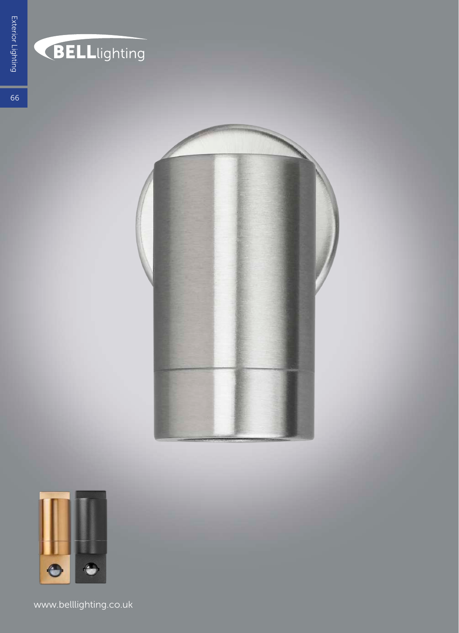# **BELL**lighting

66





www.belllighting.co.uk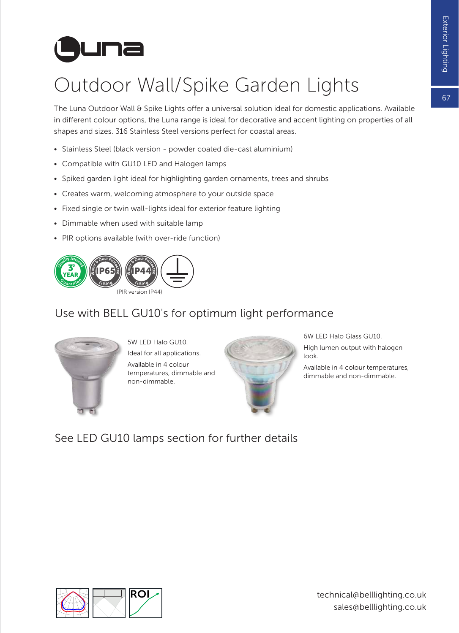67

# **L una**

### Outdoor Wall/Spike Garden Lights

The Luna Outdoor Wall & Spike Lights offer a universal solution ideal for domestic applications. Available in different colour options, the Luna range is ideal for decorative and accent lighting on properties of all shapes and sizes. 316 Stainless Steel versions perfect for coastal areas.

- Stainless Steel (black version powder coated die-cast aluminium)
- Compatible with GU10 LED and Halogen lamps
- Spiked garden light ideal for highlighting garden ornaments, trees and shrubs
- Creates warm, welcoming atmosphere to your outside space
- Fixed single or twin wall-lights ideal for exterior feature lighting
- Dimmable when used with suitable lamp
- PIR options available (with over-ride function)



#### Use with BELL GU10's for optimum light performance



5W LED Halo GU10. Ideal for all applications. Available in 4 colour temperatures, dimmable and non-dimmable.



6W LED Halo Glass GU10. High lumen output with halogen look.

Available in 4 colour temperatures, dimmable and non-dimmable.

#### See LED GU10 lamps section for further details

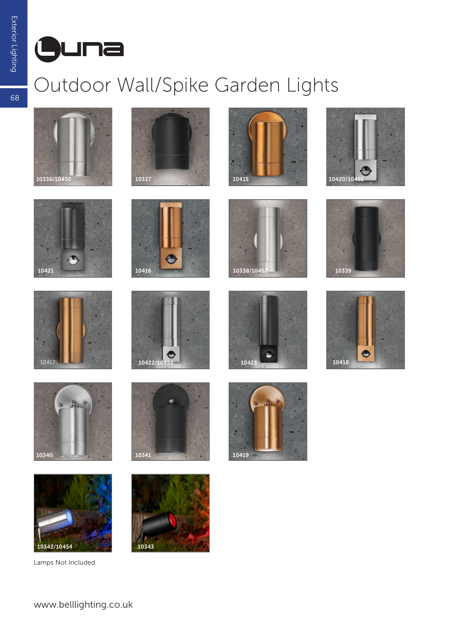68



### Outdoor Wall/Spike Garden Lights





 $\bullet$ 

















 $\bullet$ 





Lamps Not Included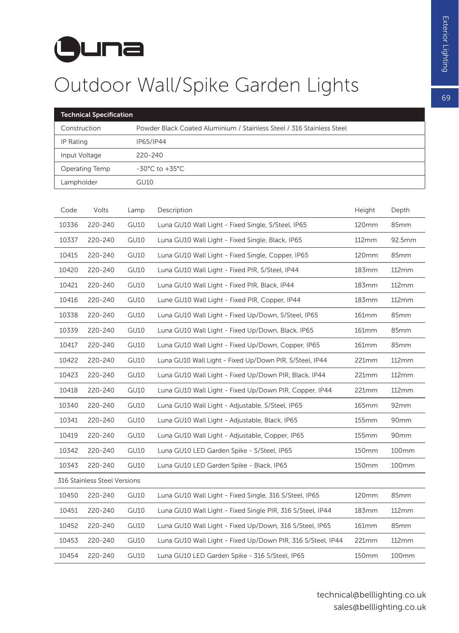

# Outdoor Wall/Spike Garden Lights

| <b>Technical Specification</b>                                                        |                              |             |                                                             |        |        |  |
|---------------------------------------------------------------------------------------|------------------------------|-------------|-------------------------------------------------------------|--------|--------|--|
| Construction<br>Powder Black Coated Aluminium / Stainless Steel / 316 Stainless Steel |                              |             |                                                             |        |        |  |
| IP Rating                                                                             |                              |             | IP65/IP44                                                   |        |        |  |
| Input Voltage                                                                         |                              |             | 220-240                                                     |        |        |  |
| Operating Temp                                                                        |                              |             | $-30^{\circ}$ C to $+35^{\circ}$ C                          |        |        |  |
| Lampholder                                                                            |                              | GU10        |                                                             |        |        |  |
|                                                                                       |                              |             |                                                             |        |        |  |
| Code                                                                                  | Volts                        | Lamp        | Description                                                 | Height | Depth  |  |
| 10336                                                                                 | 220-240                      | <b>GU10</b> | Luna GU10 Wall Light - Fixed Single, S/Steel, IP65          | 120mm  | 85mm   |  |
| 10337                                                                                 | 220-240                      | GU10        | Luna GU10 Wall Light - Fixed Single, Black, IP65            | 112mm  | 92.5mm |  |
| 10415                                                                                 | 220-240                      | <b>GU10</b> | Luna GU10 Wall Light - Fixed Single, Copper, IP65           | 120mm  | 85mm   |  |
| 10420                                                                                 | 220-240                      | <b>GU10</b> | Luna GU10 Wall Light - Fixed PIR, S/Steel, IP44             | 183mm  | 112mm  |  |
| 10421                                                                                 | 220-240                      | GU10        | Luna GU10 Wall Light - Fixed PIR, Black, IP44               | 183mm  | 112mm  |  |
| 10416                                                                                 | 220-240                      | GU10        | Lune GU10 Wall Light - Fixed PIR, Copper, IP44              | 183mm  | 112mm  |  |
| 10338                                                                                 | 220-240                      | GU10        | Luna GU10 Wall Light - Fixed Up/Down, S/Steel, IP65         | 161mm  | 85mm   |  |
| 10339                                                                                 | 220-240                      | GU10        | Luna GU10 Wall Light - Fixed Up/Down, Black, IP65           | 161mm  | 85mm   |  |
| 10417                                                                                 | 220-240                      | <b>GU10</b> | Luna GU10 Wall Light - Fixed Up/Down, Copper, IP65          | 161mm  | 85mm   |  |
| 10422                                                                                 | 220-240                      | <b>GU10</b> | Luna GU10 Wall Light - Fixed Up/Down PIR, S/Steel, IP44     | 221mm  | 112mm  |  |
| 10423                                                                                 | 220-240                      | GU10        | Luna GU10 Wall Light - Fixed Up/Down PIR, Black, IP44       | 221mm  | 112mm  |  |
| 10418                                                                                 | 220-240                      | GU10        | Luna GU10 Wall Light - Fixed Up/Down PIR, Copper, IP44      | 221mm  | 112mm  |  |
| 10340                                                                                 | 220-240                      | <b>GU10</b> | Luna GU10 Wall Light - Adjustable, S/Steel, IP65            | 165mm  | 92mm   |  |
| 10341                                                                                 | 220-240                      | <b>GU10</b> | Luna GU10 Wall Light - Adjustable, Black, IP65              | 155mm  | 90mm   |  |
| 10419                                                                                 | 220-240                      | GU10        | Luna GU10 Wall Light - Adjustable, Copper, IP65             | 155mm  | 90mm   |  |
| 10342                                                                                 | 220-240                      | GU10        | Luna GU10 LED Garden Spike - S/Steel, IP65                  | 150mm  | 100mm  |  |
| 10343                                                                                 | 220-240                      | GU10        | Luna GU10 LED Garden Spike - Black, IP65                    | 150mm  | 100mm  |  |
|                                                                                       | 316 Stainless Steel Versions |             |                                                             |        |        |  |
| 10450                                                                                 | 220-240                      | GU10        | Luna GU10 Wall Light - Fixed Single, 316 S/Steel, IP65      | 120mm  | 85mm   |  |
| 10451                                                                                 | 220-240                      | <b>GU10</b> | Luna GU10 Wall Light - Fixed Single PIR, 316 S/Steel, IP44  | 183mm  | 112mm  |  |
| 10452                                                                                 | 220-240                      | <b>GU10</b> | Luna GU10 Wall Light - Fixed Up/Down, 316 S/Steel, IP65     | 161mm  | 85mm   |  |
| 10453                                                                                 | 220-240                      | GU10        | Luna GU10 Wall Light - Fixed Up/Down PIR, 316 S/Steel, IP44 | 221mm  | 112mm  |  |
| 10454                                                                                 | 220-240                      | <b>GU10</b> | Luna GU10 LED Garden Spike - 316 S/Steel, IP65              | 150mm  | 100mm  |  |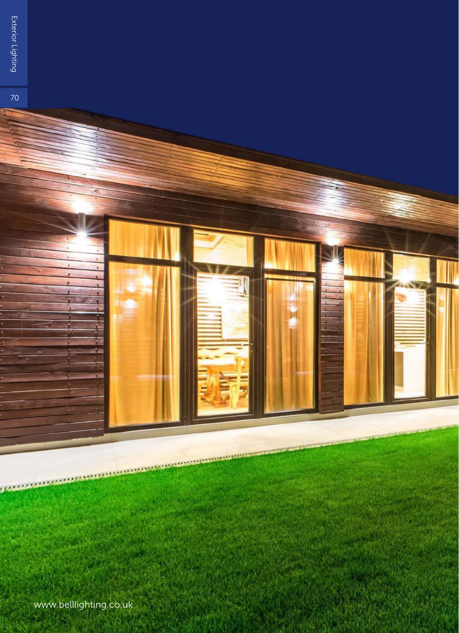



www.belllighting.co.uk

**TANACH AND A** 

 $\ddot{\phantom{0}}$  $\mathbf{r}$ 

T.

ASSESSMENT PROPERTY AND RESIDENCE AND DESCRIPTION